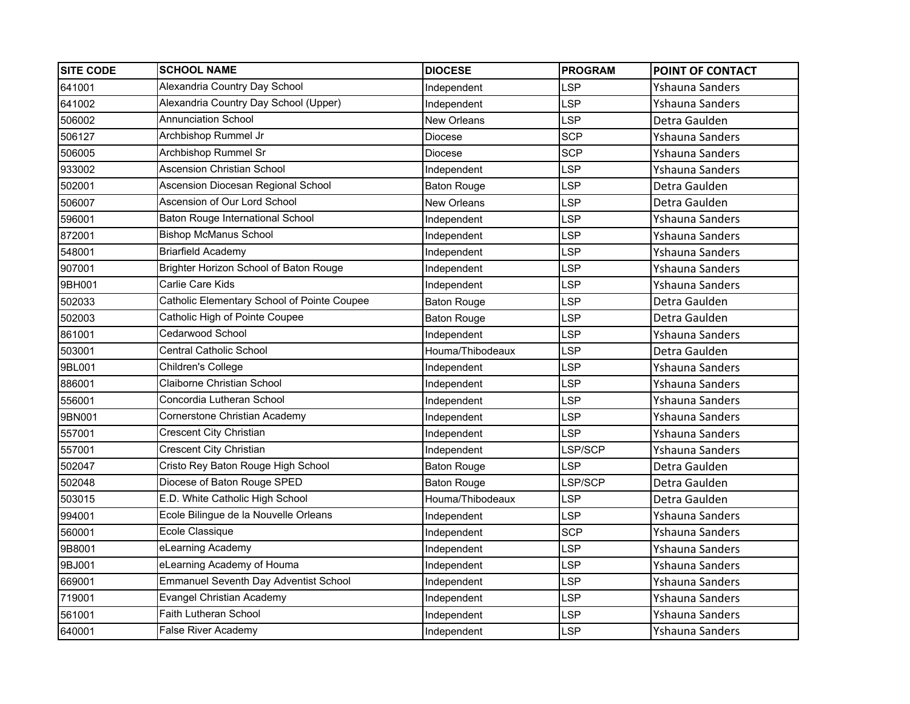| <b>SITE CODE</b> | <b>SCHOOL NAME</b>                           | <b>DIOCESE</b>     | <b>PROGRAM</b> | <b>POINT OF CONTACT</b> |
|------------------|----------------------------------------------|--------------------|----------------|-------------------------|
| 641001           | Alexandria Country Day School                | Independent        | LSP            | Yshauna Sanders         |
| 641002           | Alexandria Country Day School (Upper)        | Independent        | LSP            | Yshauna Sanders         |
| 506002           | <b>Annunciation School</b>                   | <b>New Orleans</b> | <b>LSP</b>     | Detra Gaulden           |
| 506127           | Archbishop Rummel Jr                         | Diocese            | <b>SCP</b>     | Yshauna Sanders         |
| 506005           | Archbishop Rummel Sr                         | Diocese            | <b>SCP</b>     | Yshauna Sanders         |
| 933002           | <b>Ascension Christian School</b>            | Independent        | LSP            | Yshauna Sanders         |
| 502001           | Ascension Diocesan Regional School           | <b>Baton Rouge</b> | LSP            | Detra Gaulden           |
| 506007           | Ascension of Our Lord School                 | <b>New Orleans</b> | LSP            | Detra Gaulden           |
| 596001           | Baton Rouge International School             | Independent        | LSP            | Yshauna Sanders         |
| 872001           | <b>Bishop McManus School</b>                 | Independent        | LSP            | Yshauna Sanders         |
| 548001           | <b>Briarfield Academy</b>                    | Independent        | LSP            | Yshauna Sanders         |
| 907001           | Brighter Horizon School of Baton Rouge       | Independent        | LSP            | Yshauna Sanders         |
| 9BH001           | Carlie Care Kids                             | Independent        | LSP            | Yshauna Sanders         |
| 502033           | Catholic Elementary School of Pointe Coupee  | <b>Baton Rouge</b> | LSP            | Detra Gaulden           |
| 502003           | Catholic High of Pointe Coupee               | <b>Baton Rouge</b> | <b>LSP</b>     | Detra Gaulden           |
| 861001           | Cedarwood School                             | Independent        | LSP            | Yshauna Sanders         |
| 503001           | <b>Central Catholic School</b>               | Houma/Thibodeaux   | LSP            | Detra Gaulden           |
| 9BL001           | Children's College                           | Independent        | LSP            | Yshauna Sanders         |
| 886001           | Claiborne Christian School                   | Independent        | LSP            | Yshauna Sanders         |
| 556001           | Concordia Lutheran School                    | Independent        | LSP            | Yshauna Sanders         |
| 9BN001           | Cornerstone Christian Academy                | Independent        | LSP            | Yshauna Sanders         |
| 557001           | <b>Crescent City Christian</b>               | Independent        | LSP            | Yshauna Sanders         |
| 557001           | <b>Crescent City Christian</b>               | Independent        | LSP/SCP        | Yshauna Sanders         |
| 502047           | Cristo Rey Baton Rouge High School           | <b>Baton Rouge</b> | <b>LSP</b>     | Detra Gaulden           |
| 502048           | Diocese of Baton Rouge SPED                  | <b>Baton Rouge</b> | LSP/SCP        | Detra Gaulden           |
| 503015           | E.D. White Catholic High School              | Houma/Thibodeaux   | LSP            | Detra Gaulden           |
| 994001           | Ecole Bilingue de la Nouvelle Orleans        | Independent        | LSP            | Yshauna Sanders         |
| 560001           | Ecole Classique                              | Independent        | <b>SCP</b>     | Yshauna Sanders         |
| 9B8001           | eLearning Academy                            | Independent        | LSP            | Yshauna Sanders         |
| 9BJ001           | eLearning Academy of Houma                   | Independent        | LSP            | Yshauna Sanders         |
| 669001           | <b>Emmanuel Seventh Day Adventist School</b> | Independent        | LSP            | Yshauna Sanders         |
| 719001           | <b>Evangel Christian Academy</b>             | Independent        | LSP            | Yshauna Sanders         |
| 561001           | <b>Faith Lutheran School</b>                 | Independent        | LSP            | Yshauna Sanders         |
| 640001           | <b>False River Academy</b>                   | Independent        | <b>LSP</b>     | Yshauna Sanders         |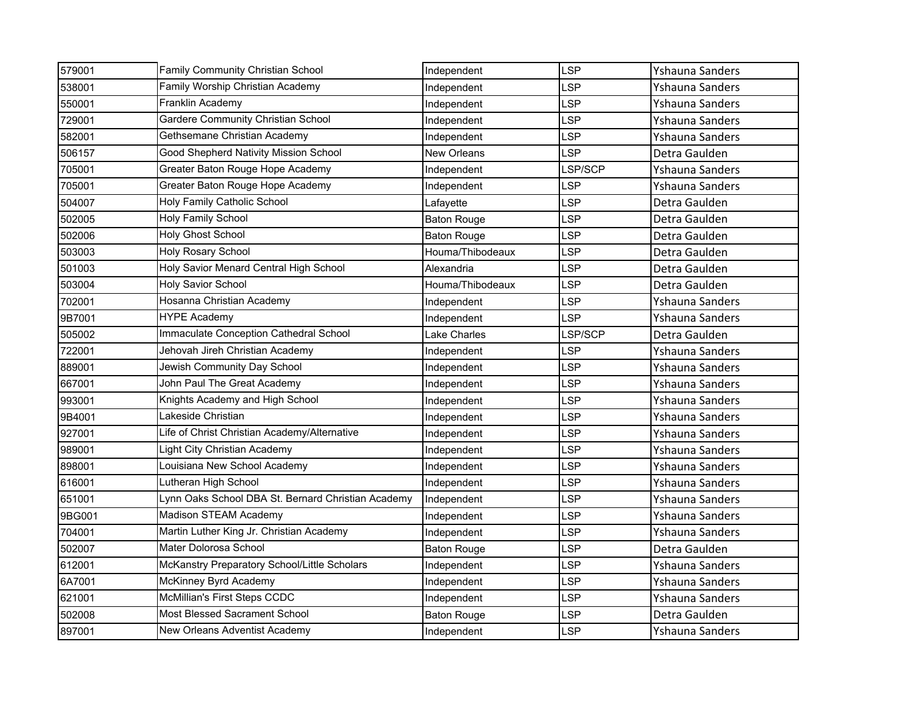| 579001 | Family Community Christian School                  | Independent        | <b>LSP</b> | Yshauna Sanders |
|--------|----------------------------------------------------|--------------------|------------|-----------------|
| 538001 | Family Worship Christian Academy                   | Independent        | LSP        | Yshauna Sanders |
| 550001 | Franklin Academy                                   | Independent        | LSP        | Yshauna Sanders |
| 729001 | Gardere Community Christian School                 | Independent        | <b>LSP</b> | Yshauna Sanders |
| 582001 | Gethsemane Christian Academy                       | Independent        | LSP        | Yshauna Sanders |
| 506157 | Good Shepherd Nativity Mission School              | New Orleans        | LSP        | Detra Gaulden   |
| 705001 | Greater Baton Rouge Hope Academy                   | Independent        | LSP/SCP    | Yshauna Sanders |
| 705001 | Greater Baton Rouge Hope Academy                   | Independent        | LSP        | Yshauna Sanders |
| 504007 | Holy Family Catholic School                        | Lafayette          | <b>LSP</b> | Detra Gaulden   |
| 502005 | Holy Family School                                 | <b>Baton Rouge</b> | LSP        | Detra Gaulden   |
| 502006 | <b>Holy Ghost School</b>                           | <b>Baton Rouge</b> | LSP        | Detra Gaulden   |
| 503003 | <b>Holy Rosary School</b>                          | Houma/Thibodeaux   | LSP        | Detra Gaulden   |
| 501003 | Holy Savior Menard Central High School             | Alexandria         | <b>LSP</b> | Detra Gaulden   |
| 503004 | <b>Holy Savior School</b>                          | Houma/Thibodeaux   | LSP        | Detra Gaulden   |
| 702001 | Hosanna Christian Academy                          | Independent        | LSP        | Yshauna Sanders |
| 9B7001 | <b>HYPE Academy</b>                                | Independent        | LSP        | Yshauna Sanders |
| 505002 | Immaculate Conception Cathedral School             | Lake Charles       | LSP/SCP    | Detra Gaulden   |
| 722001 | Jehovah Jireh Christian Academy                    | Independent        | LSP        | Yshauna Sanders |
| 889001 | Jewish Community Day School                        | Independent        | LSP        | Yshauna Sanders |
| 667001 | John Paul The Great Academy                        | Independent        | LSP        | Yshauna Sanders |
| 993001 | Knights Academy and High School                    | Independent        | LSP        | Yshauna Sanders |
| 9B4001 | Lakeside Christian                                 | Independent        | LSP        | Yshauna Sanders |
| 927001 | Life of Christ Christian Academy/Alternative       | Independent        | LSP        | Yshauna Sanders |
| 989001 | Light City Christian Academy                       | Independent        | LSP        | Yshauna Sanders |
| 898001 | Louisiana New School Academy                       | Independent        | <b>LSP</b> | Yshauna Sanders |
| 616001 | Lutheran High School                               | Independent        | LSP        | Yshauna Sanders |
| 651001 | Lynn Oaks School DBA St. Bernard Christian Academy | Independent        | LSP        | Yshauna Sanders |
| 9BG001 | Madison STEAM Academy                              | Independent        | LSP        | Yshauna Sanders |
| 704001 | Martin Luther King Jr. Christian Academy           | Independent        | LSP        | Yshauna Sanders |
| 502007 | Mater Dolorosa School                              | Baton Rouge        | <b>LSP</b> | Detra Gaulden   |
| 612001 | McKanstry Preparatory School/Little Scholars       | Independent        | LSP        | Yshauna Sanders |
| 6A7001 | McKinney Byrd Academy                              | Independent        | LSP        | Yshauna Sanders |
| 621001 | McMillian's First Steps CCDC                       | Independent        | LSP        | Yshauna Sanders |
| 502008 | <b>Most Blessed Sacrament School</b>               | <b>Baton Rouge</b> | LSP        | Detra Gaulden   |
| 897001 | New Orleans Adventist Academy                      | Independent        | <b>LSP</b> | Yshauna Sanders |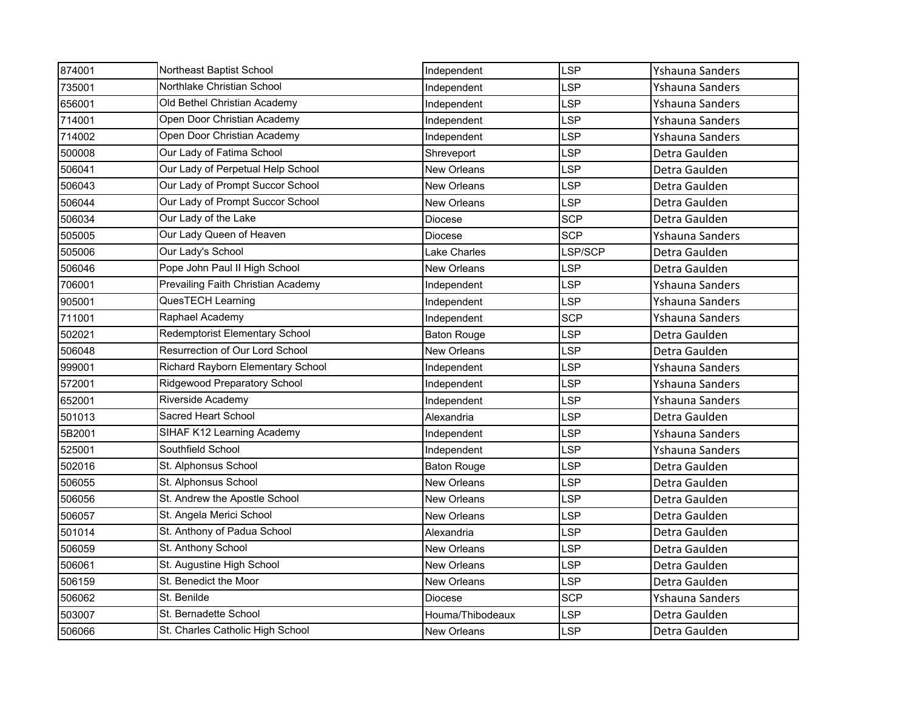| 874001 | Northeast Baptist School           | Independent        | <b>LSP</b> | Yshauna Sanders |
|--------|------------------------------------|--------------------|------------|-----------------|
| 735001 | Northlake Christian School         | Independent        | LSP        | Yshauna Sanders |
| 656001 | Old Bethel Christian Academy       | Independent        | LSP        | Yshauna Sanders |
| 714001 | Open Door Christian Academy        | Independent        | LSP        | Yshauna Sanders |
| 714002 | Open Door Christian Academy        | Independent        | LSP        | Yshauna Sanders |
| 500008 | Our Lady of Fatima School          | Shreveport         | LSP        | Detra Gaulden   |
| 506041 | Our Lady of Perpetual Help School  | <b>New Orleans</b> | LSP        | Detra Gaulden   |
| 506043 | Our Lady of Prompt Succor School   | <b>New Orleans</b> | LSP        | Detra Gaulden   |
| 506044 | Our Lady of Prompt Succor School   | <b>New Orleans</b> | <b>LSP</b> | Detra Gaulden   |
| 506034 | Our Lady of the Lake               | Diocese            | <b>SCP</b> | Detra Gaulden   |
| 505005 | Our Lady Queen of Heaven           | Diocese            | <b>SCP</b> | Yshauna Sanders |
| 505006 | Our Lady's School                  | Lake Charles       | LSP/SCP    | Detra Gaulden   |
| 506046 | Pope John Paul II High School      | New Orleans        | LSP        | Detra Gaulden   |
| 706001 | Prevailing Faith Christian Academy | Independent        | LSP        | Yshauna Sanders |
| 905001 | QuesTECH Learning                  | Independent        | LSP        | Yshauna Sanders |
| 711001 | Raphael Academy                    | Independent        | <b>SCP</b> | Yshauna Sanders |
| 502021 | Redemptorist Elementary School     | <b>Baton Rouge</b> | <b>LSP</b> | Detra Gaulden   |
| 506048 | Resurrection of Our Lord School    | <b>New Orleans</b> | <b>LSP</b> | Detra Gaulden   |
| 999001 | Richard Rayborn Elementary School  | Independent        | LSP        | Yshauna Sanders |
| 572001 | Ridgewood Preparatory School       | Independent        | LSP        | Yshauna Sanders |
| 652001 | Riverside Academy                  | Independent        | LSP        | Yshauna Sanders |
| 501013 | Sacred Heart School                | Alexandria         | LSP        | Detra Gaulden   |
| 5B2001 | SIHAF K12 Learning Academy         | Independent        | <b>LSP</b> | Yshauna Sanders |
| 525001 | Southfield School                  | Independent        | LSP        | Yshauna Sanders |
| 502016 | St. Alphonsus School               | <b>Baton Rouge</b> | <b>LSP</b> | Detra Gaulden   |
| 506055 | St. Alphonsus School               | <b>New Orleans</b> | LSP        | Detra Gaulden   |
| 506056 | St. Andrew the Apostle School      | New Orleans        | LSP        | Detra Gaulden   |
| 506057 | St. Angela Merici School           | New Orleans        | LSP        | Detra Gaulden   |
| 501014 | St. Anthony of Padua School        | Alexandria         | LSP        | Detra Gaulden   |
| 506059 | St. Anthony School                 | New Orleans        | <b>LSP</b> | Detra Gaulden   |
| 506061 | St. Augustine High School          | New Orleans        | LSP        | Detra Gaulden   |
| 506159 | St. Benedict the Moor              | New Orleans        | LSP        | Detra Gaulden   |
| 506062 | St. Benilde                        | Diocese            | <b>SCP</b> | Yshauna Sanders |
| 503007 | St. Bernadette School              | Houma/Thibodeaux   | LSP        | Detra Gaulden   |
| 506066 | St. Charles Catholic High School   | New Orleans        | <b>LSP</b> | Detra Gaulden   |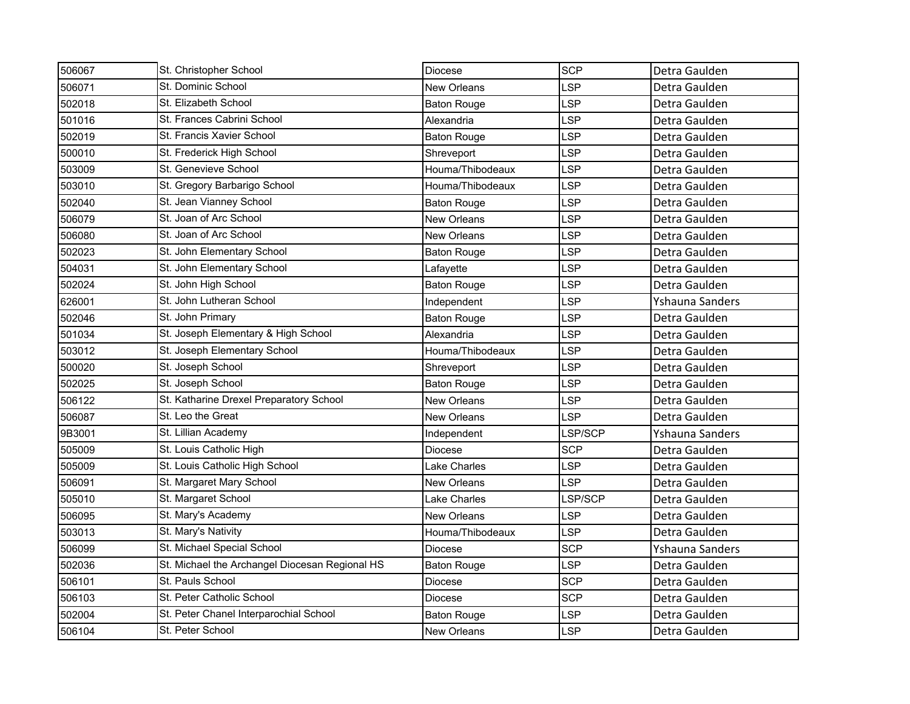| 506067 | St. Christopher School                         | Diocese             | <b>SCP</b> | Detra Gaulden   |
|--------|------------------------------------------------|---------------------|------------|-----------------|
| 506071 | St. Dominic School                             | <b>New Orleans</b>  | <b>LSP</b> | Detra Gaulden   |
| 502018 | St. Elizabeth School                           | Baton Rouge         | <b>LSP</b> | Detra Gaulden   |
| 501016 | St. Frances Cabrini School                     | Alexandria          | <b>LSP</b> | Detra Gaulden   |
| 502019 | St. Francis Xavier School                      | <b>Baton Rouge</b>  | <b>LSP</b> | Detra Gaulden   |
| 500010 | St. Frederick High School                      | Shreveport          | <b>LSP</b> | Detra Gaulden   |
| 503009 | St. Genevieve School                           | Houma/Thibodeaux    | <b>LSP</b> | Detra Gaulden   |
| 503010 | St. Gregory Barbarigo School                   | Houma/Thibodeaux    | LSP        | Detra Gaulden   |
| 502040 | St. Jean Vianney School                        | <b>Baton Rouge</b>  | <b>LSP</b> | Detra Gaulden   |
| 506079 | St. Joan of Arc School                         | <b>New Orleans</b>  | <b>LSP</b> | Detra Gaulden   |
| 506080 | St. Joan of Arc School                         | <b>New Orleans</b>  | <b>LSP</b> | Detra Gaulden   |
| 502023 | St. John Elementary School                     | <b>Baton Rouge</b>  | <b>LSP</b> | Detra Gaulden   |
| 504031 | St. John Elementary School                     | Lafavette           | <b>LSP</b> | Detra Gaulden   |
| 502024 | St. John High School                           | <b>Baton Rouge</b>  | <b>LSP</b> | Detra Gaulden   |
| 626001 | St. John Lutheran School                       | Independent         | LSP        | Yshauna Sanders |
| 502046 | St. John Primary                               | <b>Baton Rouge</b>  | LSP        | Detra Gaulden   |
| 501034 | St. Joseph Elementary & High School            | Alexandria          | <b>LSP</b> | Detra Gaulden   |
| 503012 | St. Joseph Elementary School                   | Houma/Thibodeaux    | <b>LSP</b> | Detra Gaulden   |
| 500020 | St. Joseph School                              | Shreveport          | <b>LSP</b> | Detra Gaulden   |
| 502025 | St. Joseph School                              | <b>Baton Rouge</b>  | <b>LSP</b> | Detra Gaulden   |
| 506122 | St. Katharine Drexel Preparatory School        | <b>New Orleans</b>  | <b>LSP</b> | Detra Gaulden   |
| 506087 | St. Leo the Great                              | <b>New Orleans</b>  | LSP        | Detra Gaulden   |
| 9B3001 | St. Lillian Academy                            | Independent         | LSP/SCP    | Yshauna Sanders |
| 505009 | St. Louis Catholic High                        | Diocese             | <b>SCP</b> | Detra Gaulden   |
| 505009 | St. Louis Catholic High School                 | <b>Lake Charles</b> | <b>LSP</b> | Detra Gaulden   |
| 506091 | St. Margaret Mary School                       | <b>New Orleans</b>  | LSP        | Detra Gaulden   |
| 505010 | St. Margaret School                            | Lake Charles        | LSP/SCP    | Detra Gaulden   |
| 506095 | St. Mary's Academy                             | <b>New Orleans</b>  | <b>LSP</b> | Detra Gaulden   |
| 503013 | St. Mary's Nativity                            | Houma/Thibodeaux    | LSP        | Detra Gaulden   |
| 506099 | St. Michael Special School                     | Diocese             | <b>SCP</b> | Yshauna Sanders |
| 502036 | St. Michael the Archangel Diocesan Regional HS | <b>Baton Rouge</b>  | <b>LSP</b> | Detra Gaulden   |
| 506101 | St. Pauls School                               | Diocese             | <b>SCP</b> | Detra Gaulden   |
| 506103 | St. Peter Catholic School                      | Diocese             | <b>SCP</b> | Detra Gaulden   |
| 502004 | St. Peter Chanel Interparochial School         | <b>Baton Rouge</b>  | <b>LSP</b> | Detra Gaulden   |
| 506104 | St. Peter School                               | <b>New Orleans</b>  | <b>LSP</b> | Detra Gaulden   |